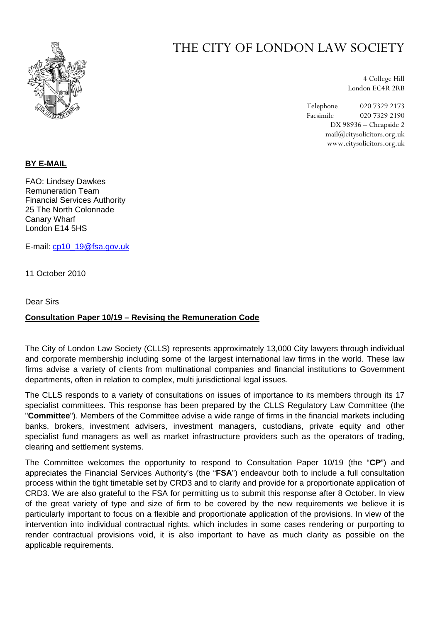

# THE CITY OF LONDON LAW SOCIETY

4 College Hill London EC4R 2RB

Telephone 020 7329 2173 Facsimile 020 7329 2190 DX 98936 – Cheapside 2 mail@citysolicitors.org.uk www.citysolicitors.org.uk

# **BY E-MAIL**

FAO: Lindsey Dawkes Remuneration Team Financial Services Authority 25 The North Colonnade Canary Wharf London E14 5HS

E-mail: [cp10\\_19@fsa.gov.uk](mailto:cp10_19@fsa.gov.uk)

11 October 2010

Dear Sirs

# **Consultation Paper 10/19 – Revising the Remuneration Code**

The City of London Law Society (CLLS) represents approximately 13,000 City lawyers through individual and corporate membership including some of the largest international law firms in the world. These law firms advise a variety of clients from multinational companies and financial institutions to Government departments, often in relation to complex, multi jurisdictional legal issues.

The CLLS responds to a variety of consultations on issues of importance to its members through its 17 specialist committees. This response has been prepared by the CLLS Regulatory Law Committee (the "**Committee**"). Members of the Committee advise a wide range of firms in the financial markets including banks, brokers, investment advisers, investment managers, custodians, private equity and other specialist fund managers as well as market infrastructure providers such as the operators of trading, clearing and settlement systems.

The Committee welcomes the opportunity to respond to Consultation Paper 10/19 (the "**CP**") and appreciates the Financial Services Authority's (the "**FSA**") endeavour both to include a full consultation process within the tight timetable set by CRD3 and to clarify and provide for a proportionate application of CRD3. We are also grateful to the FSA for permitting us to submit this response after 8 October. In view of the great variety of type and size of firm to be covered by the new requirements we believe it is particularly important to focus on a flexible and proportionate application of the provisions. In view of the intervention into individual contractual rights, which includes in some cases rendering or purporting to render contractual provisions void, it is also important to have as much clarity as possible on the applicable requirements.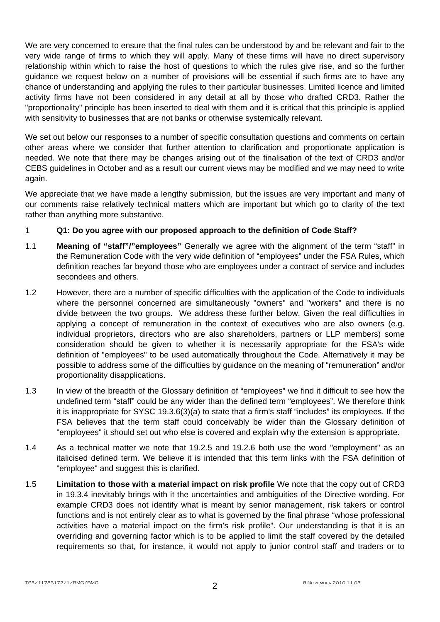We are very concerned to ensure that the final rules can be understood by and be relevant and fair to the very wide range of firms to which they will apply. Many of these firms will have no direct supervisory relationship within which to raise the host of questions to which the rules give rise, and so the further guidance we request below on a number of provisions will be essential if such firms are to have any chance of understanding and applying the rules to their particular businesses. Limited licence and limited activity firms have not been considered in any detail at all by those who drafted CRD3. Rather the "proportionality" principle has been inserted to deal with them and it is critical that this principle is applied with sensitivity to businesses that are not banks or otherwise systemically relevant.

We set out below our responses to a number of specific consultation questions and comments on certain other areas where we consider that further attention to clarification and proportionate application is needed. We note that there may be changes arising out of the finalisation of the text of CRD3 and/or CEBS guidelines in October and as a result our current views may be modified and we may need to write again.

We appreciate that we have made a lengthy submission, but the issues are very important and many of our comments raise relatively technical matters which are important but which go to clarity of the text rather than anything more substantive.

# 1 **Q1: Do you agree with our proposed approach to the definition of Code Staff?**

- 1.1 **Meaning of "staff"/"employees"** Generally we agree with the alignment of the term "staff" in the Remuneration Code with the very wide definition of "employees" under the FSA Rules, which definition reaches far beyond those who are employees under a contract of service and includes secondees and others.
- 1.2 However, there are a number of specific difficulties with the application of the Code to individuals where the personnel concerned are simultaneously "owners" and "workers" and there is no divide between the two groups. We address these further below. Given the real difficulties in applying a concept of remuneration in the context of executives who are also owners (e.g. individual proprietors, directors who are also shareholders, partners or LLP members) some consideration should be given to whether it is necessarily appropriate for the FSA's wide definition of "employees" to be used automatically throughout the Code. Alternatively it may be possible to address some of the difficulties by guidance on the meaning of "remuneration" and/or proportionality disapplications.
- 1.3 In view of the breadth of the Glossary definition of "employees" we find it difficult to see how the undefined term "staff" could be any wider than the defined term "employees". We therefore think it is inappropriate for SYSC 19.3.6(3)(a) to state that a firm's staff "includes" its employees. If the FSA believes that the term staff could conceivably be wider than the Glossary definition of "employees" it should set out who else is covered and explain why the extension is appropriate.
- 1.4 As a technical matter we note that 19.2.5 and 19.2.6 both use the word "employment" as an italicised defined term. We believe it is intended that this term links with the FSA definition of "employee" and suggest this is clarified.
- 1.5 **Limitation to those with a material impact on risk profile** We note that the copy out of CRD3 in 19.3.4 inevitably brings with it the uncertainties and ambiguities of the Directive wording. For example CRD3 does not identify what is meant by senior management, risk takers or control functions and is not entirely clear as to what is governed by the final phrase "whose professional activities have a material impact on the firm's risk profile". Our understanding is that it is an overriding and governing factor which is to be applied to limit the staff covered by the detailed requirements so that, for instance, it would not apply to junior control staff and traders or to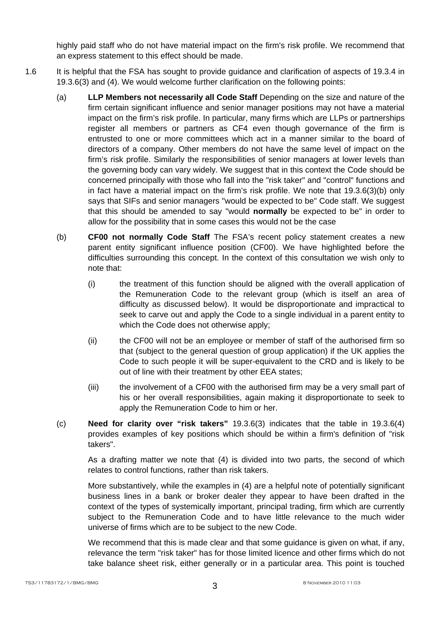highly paid staff who do not have material impact on the firm's risk profile. We recommend that an express statement to this effect should be made.

- 1.6 It is helpful that the FSA has sought to provide guidance and clarification of aspects of 19.3.4 in 19.3.6(3) and (4). We would welcome further clarification on the following points:
	- (a) **LLP Members not necessarily all Code Staff** Depending on the size and nature of the firm certain significant influence and senior manager positions may not have a material impact on the firm's risk profile. In particular, many firms which are LLPs or partnerships register all members or partners as CF4 even though governance of the firm is entrusted to one or more committees which act in a manner similar to the board of directors of a company. Other members do not have the same level of impact on the firm's risk profile. Similarly the responsibilities of senior managers at lower levels than the governing body can vary widely. We suggest that in this context the Code should be concerned principally with those who fall into the "risk taker" and "control" functions and in fact have a material impact on the firm's risk profile. We note that 19.3.6(3)(b) only says that SIFs and senior managers "would be expected to be" Code staff. We suggest that this should be amended to say "would **normally** be expected to be" in order to allow for the possibility that in some cases this would not be the case
	- (b) **CF00 not normally Code Staff** The FSA's recent policy statement creates a new parent entity significant influence position (CF00). We have highlighted before the difficulties surrounding this concept. In the context of this consultation we wish only to note that:
		- (i) the treatment of this function should be aligned with the overall application of the Remuneration Code to the relevant group (which is itself an area of difficulty as discussed below). It would be disproportionate and impractical to seek to carve out and apply the Code to a single individual in a parent entity to which the Code does not otherwise apply;
		- (ii) the CF00 will not be an employee or member of staff of the authorised firm so that (subject to the general question of group application) if the UK applies the Code to such people it will be super-equivalent to the CRD and is likely to be out of line with their treatment by other EEA states;
		- (iii) the involvement of a CF00 with the authorised firm may be a very small part of his or her overall responsibilities, again making it disproportionate to seek to apply the Remuneration Code to him or her.
	- (c) **Need for clarity over "risk takers"** 19.3.6(3) indicates that the table in 19.3.6(4) provides examples of key positions which should be within a firm's definition of "risk takers".

As a drafting matter we note that (4) is divided into two parts, the second of which relates to control functions, rather than risk takers.

More substantively, while the examples in (4) are a helpful note of potentially significant business lines in a bank or broker dealer they appear to have been drafted in the context of the types of systemically important, principal trading, firm which are currently subject to the Remuneration Code and to have little relevance to the much wider universe of firms which are to be subject to the new Code.

We recommend that this is made clear and that some guidance is given on what, if any, relevance the term "risk taker" has for those limited licence and other firms which do not take balance sheet risk, either generally or in a particular area. This point is touched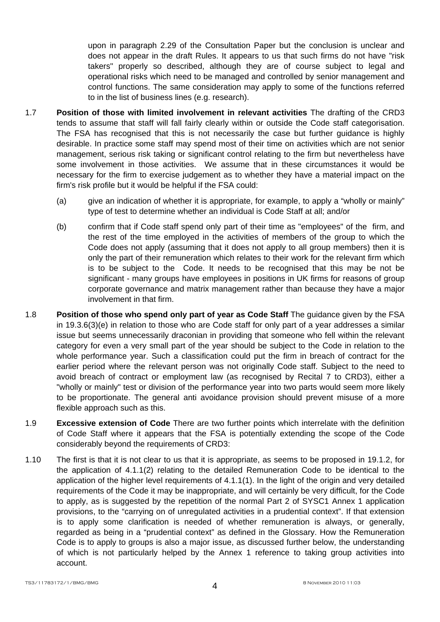upon in paragraph 2.29 of the Consultation Paper but the conclusion is unclear and does not appear in the draft Rules. It appears to us that such firms do not have "risk takers" properly so described, although they are of course subject to legal and operational risks which need to be managed and controlled by senior management and control functions. The same consideration may apply to some of the functions referred to in the list of business lines (e.g. research).

- 1.7 **Position of those with limited involvement in relevant activities** The drafting of the CRD3 tends to assume that staff will fall fairly clearly within or outside the Code staff categorisation. The FSA has recognised that this is not necessarily the case but further guidance is highly desirable. In practice some staff may spend most of their time on activities which are not senior management, serious risk taking or significant control relating to the firm but nevertheless have some involvement in those activities. We assume that in these circumstances it would be necessary for the firm to exercise judgement as to whether they have a material impact on the firm's risk profile but it would be helpful if the FSA could:
	- (a) give an indication of whether it is appropriate, for example, to apply a "wholly or mainly" type of test to determine whether an individual is Code Staff at all; and/or
	- (b) confirm that if Code staff spend only part of their time as "employees" of the firm, and the rest of the time employed in the activities of members of the group to which the Code does not apply (assuming that it does not apply to all group members) then it is only the part of their remuneration which relates to their work for the relevant firm which is to be subject to the Code. It needs to be recognised that this may be not be significant - many groups have employees in positions in UK firms for reasons of group corporate governance and matrix management rather than because they have a major involvement in that firm.
- 1.8 **Position of those who spend only part of year as Code Staff** The guidance given by the FSA in 19.3.6(3)(e) in relation to those who are Code staff for only part of a year addresses a similar issue but seems unnecessarily draconian in providing that someone who fell within the relevant category for even a very small part of the year should be subject to the Code in relation to the whole performance year. Such a classification could put the firm in breach of contract for the earlier period where the relevant person was not originally Code staff. Subject to the need to avoid breach of contract or employment law (as recognised by Recital 7 to CRD3), either a "wholly or mainly" test or division of the performance year into two parts would seem more likely to be proportionate. The general anti avoidance provision should prevent misuse of a more flexible approach such as this.
- 1.9 **Excessive extension of Code** There are two further points which interrelate with the definition of Code Staff where it appears that the FSA is potentially extending the scope of the Code considerably beyond the requirements of CRD3:
- 1.10 The first is that it is not clear to us that it is appropriate, as seems to be proposed in 19.1.2, for the application of 4.1.1(2) relating to the detailed Remuneration Code to be identical to the application of the higher level requirements of 4.1.1(1). In the light of the origin and very detailed requirements of the Code it may be inappropriate, and will certainly be very difficult, for the Code to apply, as is suggested by the repetition of the normal Part 2 of SYSC1 Annex 1 application provisions, to the "carrying on of unregulated activities in a prudential context". If that extension is to apply some clarification is needed of whether remuneration is always, or generally, regarded as being in a "prudential context" as defined in the Glossary. How the Remuneration Code is to apply to groups is also a major issue, as discussed further below, the understanding of which is not particularly helped by the Annex 1 reference to taking group activities into account.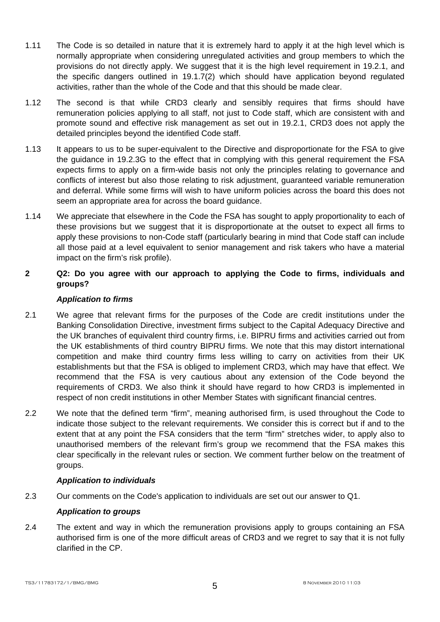- 1.11 The Code is so detailed in nature that it is extremely hard to apply it at the high level which is normally appropriate when considering unregulated activities and group members to which the provisions do not directly apply. We suggest that it is the high level requirement in 19.2.1, and the specific dangers outlined in 19.1.7(2) which should have application beyond regulated activities, rather than the whole of the Code and that this should be made clear.
- 1.12 The second is that while CRD3 clearly and sensibly requires that firms should have remuneration policies applying to all staff, not just to Code staff, which are consistent with and promote sound and effective risk management as set out in 19.2.1, CRD3 does not apply the detailed principles beyond the identified Code staff.
- 1.13 It appears to us to be super-equivalent to the Directive and disproportionate for the FSA to give the guidance in 19.2.3G to the effect that in complying with this general requirement the FSA expects firms to apply on a firm-wide basis not only the principles relating to governance and conflicts of interest but also those relating to risk adjustment, guaranteed variable remuneration and deferral. While some firms will wish to have uniform policies across the board this does not seem an appropriate area for across the board guidance.
- 1.14 We appreciate that elsewhere in the Code the FSA has sought to apply proportionality to each of these provisions but we suggest that it is disproportionate at the outset to expect all firms to apply these provisions to non-Code staff (particularly bearing in mind that Code staff can include all those paid at a level equivalent to senior management and risk takers who have a material impact on the firm's risk profile).
- **2 Q2: Do you agree with our approach to applying the Code to firms, individuals and groups?**

# *Application to firms*

- 2.1 We agree that relevant firms for the purposes of the Code are credit institutions under the Banking Consolidation Directive, investment firms subject to the Capital Adequacy Directive and the UK branches of equivalent third country firms, i.e. BIPRU firms and activities carried out from the UK establishments of third country BIPRU firms. We note that this may distort international competition and make third country firms less willing to carry on activities from their UK establishments but that the FSA is obliged to implement CRD3, which may have that effect. We recommend that the FSA is very cautious about any extension of the Code beyond the requirements of CRD3. We also think it should have regard to how CRD3 is implemented in respect of non credit institutions in other Member States with significant financial centres.
- 2.2 We note that the defined term "firm", meaning authorised firm, is used throughout the Code to indicate those subject to the relevant requirements. We consider this is correct but if and to the extent that at any point the FSA considers that the term "firm" stretches wider, to apply also to unauthorised members of the relevant firm's group we recommend that the FSA makes this clear specifically in the relevant rules or section. We comment further below on the treatment of groups.

# *Application to individuals*

2.3 Our comments on the Code's application to individuals are set out our answer to Q1.

# *Application to groups*

2.4 The extent and way in which the remuneration provisions apply to groups containing an FSA authorised firm is one of the more difficult areas of CRD3 and we regret to say that it is not fully clarified in the CP.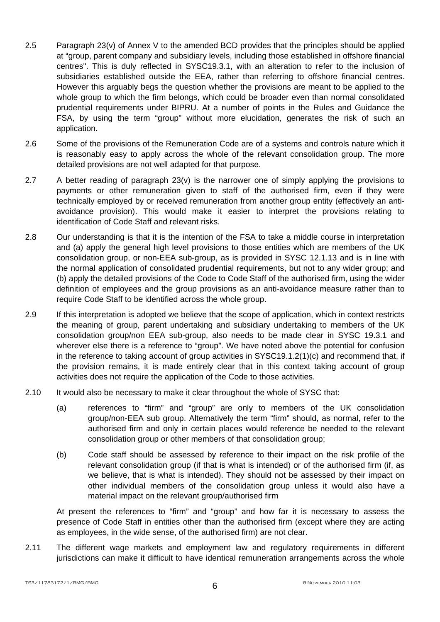- 2.5 Paragraph 23(v) of Annex V to the amended BCD provides that the principles should be applied at "group, parent company and subsidiary levels, including those established in offshore financial centres". This is duly reflected in SYSC19.3.1, with an alteration to refer to the inclusion of subsidiaries established outside the EEA, rather than referring to offshore financial centres. However this arguably begs the question whether the provisions are meant to be applied to the whole group to which the firm belongs, which could be broader even than normal consolidated prudential requirements under BIPRU. At a number of points in the Rules and Guidance the FSA, by using the term "group" without more elucidation, generates the risk of such an application.
- 2.6 Some of the provisions of the Remuneration Code are of a systems and controls nature which it is reasonably easy to apply across the whole of the relevant consolidation group. The more detailed provisions are not well adapted for that purpose.
- 2.7 A better reading of paragraph 23(v) is the narrower one of simply applying the provisions to payments or other remuneration given to staff of the authorised firm, even if they were technically employed by or received remuneration from another group entity (effectively an antiavoidance provision). This would make it easier to interpret the provisions relating to identification of Code Staff and relevant risks.
- 2.8 Our understanding is that it is the intention of the FSA to take a middle course in interpretation and (a) apply the general high level provisions to those entities which are members of the UK consolidation group, or non-EEA sub-group, as is provided in SYSC 12.1.13 and is in line with the normal application of consolidated prudential requirements, but not to any wider group; and (b) apply the detailed provisions of the Code to Code Staff of the authorised firm, using the wider definition of employees and the group provisions as an anti-avoidance measure rather than to require Code Staff to be identified across the whole group.
- 2.9 If this interpretation is adopted we believe that the scope of application, which in context restricts the meaning of group, parent undertaking and subsidiary undertaking to members of the UK consolidation group/non EEA sub-group, also needs to be made clear in SYSC 19.3.1 and wherever else there is a reference to "group". We have noted above the potential for confusion in the reference to taking account of group activities in SYSC19.1.2(1)(c) and recommend that, if the provision remains, it is made entirely clear that in this context taking account of group activities does not require the application of the Code to those activities.
- 2.10 It would also be necessary to make it clear throughout the whole of SYSC that:
	- (a) references to "firm" and "group" are only to members of the UK consolidation group/non-EEA sub group. Alternatively the term "firm" should, as normal, refer to the authorised firm and only in certain places would reference be needed to the relevant consolidation group or other members of that consolidation group;
	- (b) Code staff should be assessed by reference to their impact on the risk profile of the relevant consolidation group (if that is what is intended) or of the authorised firm (if, as we believe, that is what is intended). They should not be assessed by their impact on other individual members of the consolidation group unless it would also have a material impact on the relevant group/authorised firm

At present the references to "firm" and "group" and how far it is necessary to assess the presence of Code Staff in entities other than the authorised firm (except where they are acting as employees, in the wide sense, of the authorised firm) are not clear.

2.11 The different wage markets and employment law and regulatory requirements in different jurisdictions can make it difficult to have identical remuneration arrangements across the whole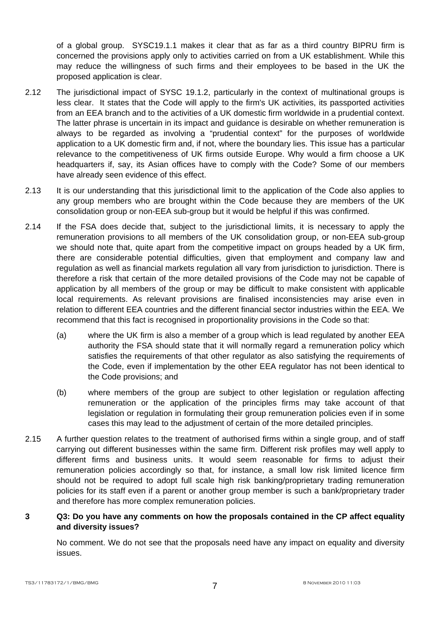of a global group. SYSC19.1.1 makes it clear that as far as a third country BIPRU firm is concerned the provisions apply only to activities carried on from a UK establishment. While this may reduce the willingness of such firms and their employees to be based in the UK the proposed application is clear.

- 2.12 The jurisdictional impact of SYSC 19.1.2, particularly in the context of multinational groups is less clear. It states that the Code will apply to the firm's UK activities, its passported activities from an EEA branch and to the activities of a UK domestic firm worldwide in a prudential context. The latter phrase is uncertain in its impact and guidance is desirable on whether remuneration is always to be regarded as involving a "prudential context" for the purposes of worldwide application to a UK domestic firm and, if not, where the boundary lies. This issue has a particular relevance to the competitiveness of UK firms outside Europe. Why would a firm choose a UK headquarters if, say, its Asian offices have to comply with the Code? Some of our members have already seen evidence of this effect.
- 2.13 It is our understanding that this jurisdictional limit to the application of the Code also applies to any group members who are brought within the Code because they are members of the UK consolidation group or non-EEA sub-group but it would be helpful if this was confirmed.
- 2.14 If the FSA does decide that, subject to the jurisdictional limits, it is necessary to apply the remuneration provisions to all members of the UK consolidation group, or non-EEA sub-group we should note that, quite apart from the competitive impact on groups headed by a UK firm, there are considerable potential difficulties, given that employment and company law and regulation as well as financial markets regulation all vary from jurisdiction to jurisdiction. There is therefore a risk that certain of the more detailed provisions of the Code may not be capable of application by all members of the group or may be difficult to make consistent with applicable local requirements. As relevant provisions are finalised inconsistencies may arise even in relation to different EEA countries and the different financial sector industries within the EEA. We recommend that this fact is recognised in proportionality provisions in the Code so that:
	- (a) where the UK firm is also a member of a group which is lead regulated by another EEA authority the FSA should state that it will normally regard a remuneration policy which satisfies the requirements of that other regulator as also satisfying the requirements of the Code, even if implementation by the other EEA regulator has not been identical to the Code provisions; and
	- (b) where members of the group are subject to other legislation or regulation affecting remuneration or the application of the principles firms may take account of that legislation or regulation in formulating their group remuneration policies even if in some cases this may lead to the adjustment of certain of the more detailed principles.
- 2.15 A further question relates to the treatment of authorised firms within a single group, and of staff carrying out different businesses within the same firm. Different risk profiles may well apply to different firms and business units. It would seem reasonable for firms to adjust their remuneration policies accordingly so that, for instance, a small low risk limited licence firm should not be required to adopt full scale high risk banking/proprietary trading remuneration policies for its staff even if a parent or another group member is such a bank/proprietary trader and therefore has more complex remuneration policies.

# **3 Q3: Do you have any comments on how the proposals contained in the CP affect equality and diversity issues?**

No comment. We do not see that the proposals need have any impact on equality and diversity issues.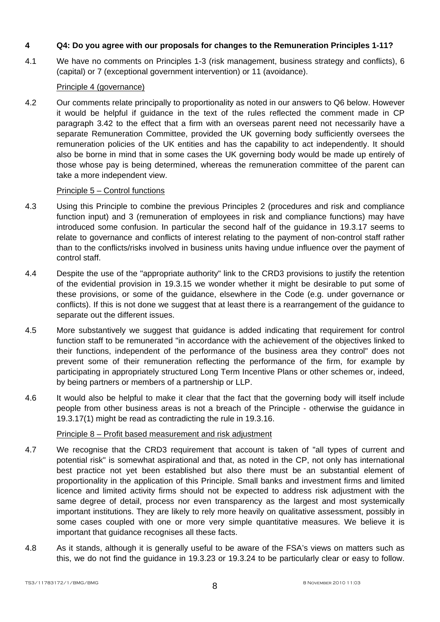# **4 Q4: Do you agree with our proposals for changes to the Remuneration Principles 1-11?**

4.1 We have no comments on Principles 1-3 (risk management, business strategy and conflicts), 6 (capital) or 7 (exceptional government intervention) or 11 (avoidance).

# Principle 4 (governance)

4.2 Our comments relate principally to proportionality as noted in our answers to Q6 below. However it would be helpful if guidance in the text of the rules reflected the comment made in CP paragraph 3.42 to the effect that a firm with an overseas parent need not necessarily have a separate Remuneration Committee, provided the UK governing body sufficiently oversees the remuneration policies of the UK entities and has the capability to act independently. It should also be borne in mind that in some cases the UK governing body would be made up entirely of those whose pay is being determined, whereas the remuneration committee of the parent can take a more independent view.

# Principle 5 – Control functions

- 4.3 Using this Principle to combine the previous Principles 2 (procedures and risk and compliance function input) and 3 (remuneration of employees in risk and compliance functions) may have introduced some confusion. In particular the second half of the guidance in 19.3.17 seems to relate to governance and conflicts of interest relating to the payment of non-control staff rather than to the conflicts/risks involved in business units having undue influence over the payment of control staff.
- 4.4 Despite the use of the "appropriate authority" link to the CRD3 provisions to justify the retention of the evidential provision in 19.3.15 we wonder whether it might be desirable to put some of these provisions, or some of the guidance, elsewhere in the Code (e.g. under governance or conflicts). If this is not done we suggest that at least there is a rearrangement of the guidance to separate out the different issues.
- 4.5 More substantively we suggest that guidance is added indicating that requirement for control function staff to be remunerated "in accordance with the achievement of the objectives linked to their functions, independent of the performance of the business area they control" does not prevent some of their remuneration reflecting the performance of the firm, for example by participating in appropriately structured Long Term Incentive Plans or other schemes or, indeed, by being partners or members of a partnership or LLP.
- 4.6 It would also be helpful to make it clear that the fact that the governing body will itself include people from other business areas is not a breach of the Principle - otherwise the guidance in 19.3.17(1) might be read as contradicting the rule in 19.3.16.

# Principle 8 – Profit based measurement and risk adjustment

- 4.7 We recognise that the CRD3 requirement that account is taken of "all types of current and potential risk" is somewhat aspirational and that, as noted in the CP, not only has international best practice not yet been established but also there must be an substantial element of proportionality in the application of this Principle. Small banks and investment firms and limited licence and limited activity firms should not be expected to address risk adjustment with the same degree of detail, process nor even transparency as the largest and most systemically important institutions. They are likely to rely more heavily on qualitative assessment, possibly in some cases coupled with one or more very simple quantitative measures. We believe it is important that guidance recognises all these facts.
- 4.8 As it stands, although it is generally useful to be aware of the FSA's views on matters such as this, we do not find the guidance in 19.3.23 or 19.3.24 to be particularly clear or easy to follow.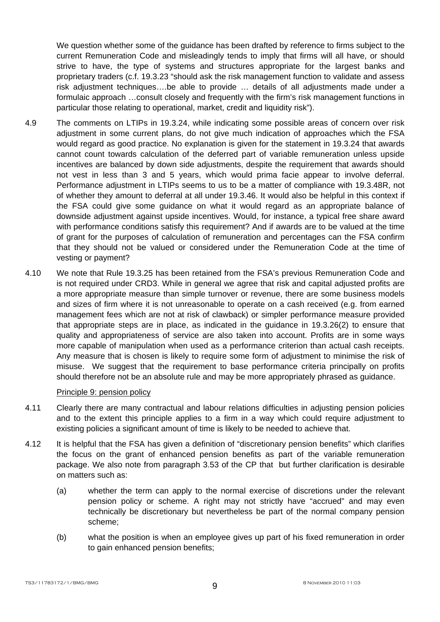We question whether some of the quidance has been drafted by reference to firms subject to the current Remuneration Code and misleadingly tends to imply that firms will all have, or should strive to have, the type of systems and structures appropriate for the largest banks and proprietary traders (c.f. 19.3.23 "should ask the risk management function to validate and assess risk adjustment techniques….be able to provide … details of all adjustments made under a formulaic approach …consult closely and frequently with the firm's risk management functions in particular those relating to operational, market, credit and liquidity risk").

- 4.9 The comments on LTIPs in 19.3.24, while indicating some possible areas of concern over risk adjustment in some current plans, do not give much indication of approaches which the FSA would regard as good practice. No explanation is given for the statement in 19.3.24 that awards cannot count towards calculation of the deferred part of variable remuneration unless upside incentives are balanced by down side adjustments, despite the requirement that awards should not vest in less than 3 and 5 years, which would prima facie appear to involve deferral. Performance adjustment in LTIPs seems to us to be a matter of compliance with 19.3.48R, not of whether they amount to deferral at all under 19.3.46. It would also be helpful in this context if the FSA could give some guidance on what it would regard as an appropriate balance of downside adjustment against upside incentives. Would, for instance, a typical free share award with performance conditions satisfy this requirement? And if awards are to be valued at the time of grant for the purposes of calculation of remuneration and percentages can the FSA confirm that they should not be valued or considered under the Remuneration Code at the time of vesting or payment?
- 4.10 We note that Rule 19.3.25 has been retained from the FSA's previous Remuneration Code and is not required under CRD3. While in general we agree that risk and capital adjusted profits are a more appropriate measure than simple turnover or revenue, there are some business models and sizes of firm where it is not unreasonable to operate on a cash received (e.g. from earned management fees which are not at risk of clawback) or simpler performance measure provided that appropriate steps are in place, as indicated in the guidance in 19.3.26(2) to ensure that quality and appropriateness of service are also taken into account. Profits are in some ways more capable of manipulation when used as a performance criterion than actual cash receipts. Any measure that is chosen is likely to require some form of adjustment to minimise the risk of misuse. We suggest that the requirement to base performance criteria principally on profits should therefore not be an absolute rule and may be more appropriately phrased as guidance.

# Principle 9: pension policy

- 4.11 Clearly there are many contractual and labour relations difficulties in adjusting pension policies and to the extent this principle applies to a firm in a way which could require adjustment to existing policies a significant amount of time is likely to be needed to achieve that.
- 4.12 It is helpful that the FSA has given a definition of "discretionary pension benefits" which clarifies the focus on the grant of enhanced pension benefits as part of the variable remuneration package. We also note from paragraph 3.53 of the CP that but further clarification is desirable on matters such as:
	- (a) whether the term can apply to the normal exercise of discretions under the relevant pension policy or scheme. A right may not strictly have "accrued" and may even technically be discretionary but nevertheless be part of the normal company pension scheme;
	- (b) what the position is when an employee gives up part of his fixed remuneration in order to gain enhanced pension benefits;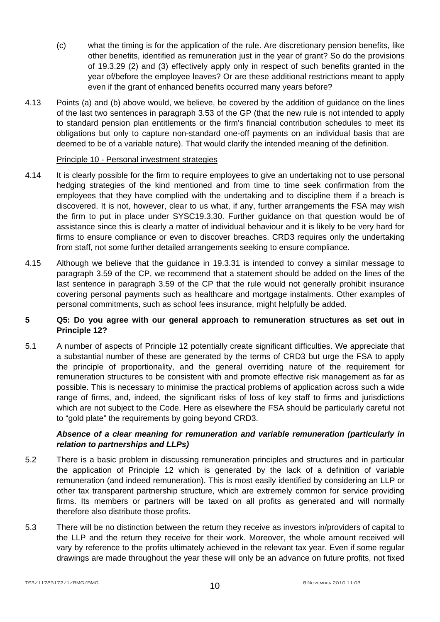- (c) what the timing is for the application of the rule. Are discretionary pension benefits, like other benefits, identified as remuneration just in the year of grant? So do the provisions of 19.3.29 (2) and (3) effectively apply only in respect of such benefits granted in the year of/before the employee leaves? Or are these additional restrictions meant to apply even if the grant of enhanced benefits occurred many years before?
- 4.13 Points (a) and (b) above would, we believe, be covered by the addition of guidance on the lines of the last two sentences in paragraph 3.53 of the GP (that the new rule is not intended to apply to standard pension plan entitlements or the firm's financial contribution schedules to meet its obligations but only to capture non-standard one-off payments on an individual basis that are deemed to be of a variable nature). That would clarify the intended meaning of the definition.

# Principle 10 - Personal investment strategies

- 4.14 It is clearly possible for the firm to require employees to give an undertaking not to use personal hedging strategies of the kind mentioned and from time to time seek confirmation from the employees that they have complied with the undertaking and to discipline them if a breach is discovered. It is not, however, clear to us what, if any, further arrangements the FSA may wish the firm to put in place under SYSC19.3.30. Further guidance on that question would be of assistance since this is clearly a matter of individual behaviour and it is likely to be very hard for firms to ensure compliance or even to discover breaches. CRD3 requires only the undertaking from staff, not some further detailed arrangements seeking to ensure compliance.
- 4.15 Although we believe that the guidance in 19.3.31 is intended to convey a similar message to paragraph 3.59 of the CP, we recommend that a statement should be added on the lines of the last sentence in paragraph 3.59 of the CP that the rule would not generally prohibit insurance covering personal payments such as healthcare and mortgage instalments. Other examples of personal commitments, such as school fees insurance, might helpfully be added.

# **5 Q5: Do you agree with our general approach to remuneration structures as set out in Principle 12?**

5.1 A number of aspects of Principle 12 potentially create significant difficulties. We appreciate that a substantial number of these are generated by the terms of CRD3 but urge the FSA to apply the principle of proportionality, and the general overriding nature of the requirement for remuneration structures to be consistent with and promote effective risk management as far as possible. This is necessary to minimise the practical problems of application across such a wide range of firms, and, indeed, the significant risks of loss of key staff to firms and jurisdictions which are not subject to the Code. Here as elsewhere the FSA should be particularly careful not to "gold plate" the requirements by going beyond CRD3.

# *Absence of a clear meaning for remuneration and variable remuneration (particularly in relation to partnerships and LLPs)*

- 5.2 There is a basic problem in discussing remuneration principles and structures and in particular the application of Principle 12 which is generated by the lack of a definition of variable remuneration (and indeed remuneration). This is most easily identified by considering an LLP or other tax transparent partnership structure, which are extremely common for service providing firms. Its members or partners will be taxed on all profits as generated and will normally therefore also distribute those profits.
- 5.3 There will be no distinction between the return they receive as investors in/providers of capital to the LLP and the return they receive for their work. Moreover, the whole amount received will vary by reference to the profits ultimately achieved in the relevant tax year. Even if some regular drawings are made throughout the year these will only be an advance on future profits, not fixed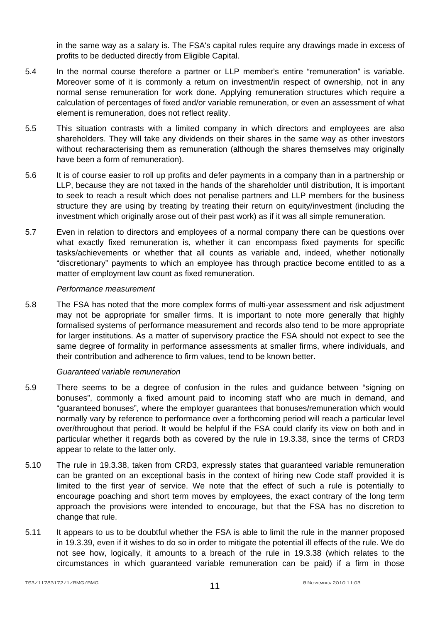in the same way as a salary is. The FSA's capital rules require any drawings made in excess of profits to be deducted directly from Eligible Capital.

- 5.4 In the normal course therefore a partner or LLP member's entire "remuneration" is variable. Moreover some of it is commonly a return on investment/in respect of ownership, not in any normal sense remuneration for work done. Applying remuneration structures which require a calculation of percentages of fixed and/or variable remuneration, or even an assessment of what element is remuneration, does not reflect reality.
- 5.5 This situation contrasts with a limited company in which directors and employees are also shareholders. They will take any dividends on their shares in the same way as other investors without recharacterising them as remuneration (although the shares themselves may originally have been a form of remuneration).
- 5.6 It is of course easier to roll up profits and defer payments in a company than in a partnership or LLP, because they are not taxed in the hands of the shareholder until distribution, It is important to seek to reach a result which does not penalise partners and LLP members for the business structure they are using by treating by treating their return on equity/investment (including the investment which originally arose out of their past work) as if it was all simple remuneration.
- 5.7 Even in relation to directors and employees of a normal company there can be questions over what exactly fixed remuneration is, whether it can encompass fixed payments for specific tasks/achievements or whether that all counts as variable and, indeed, whether notionally "discretionary" payments to which an employee has through practice become entitled to as a matter of employment law count as fixed remuneration.

#### *Performance measurement*

5.8 The FSA has noted that the more complex forms of multi-year assessment and risk adjustment may not be appropriate for smaller firms. It is important to note more generally that highly formalised systems of performance measurement and records also tend to be more appropriate for larger institutions. As a matter of supervisory practice the FSA should not expect to see the same degree of formality in performance assessments at smaller firms, where individuals, and their contribution and adherence to firm values, tend to be known better.

#### *Guaranteed variable remuneration*

- 5.9 There seems to be a degree of confusion in the rules and guidance between "signing on bonuses", commonly a fixed amount paid to incoming staff who are much in demand, and "guaranteed bonuses", where the employer guarantees that bonuses/remuneration which would normally vary by reference to performance over a forthcoming period will reach a particular level over/throughout that period. It would be helpful if the FSA could clarify its view on both and in particular whether it regards both as covered by the rule in 19.3.38, since the terms of CRD3 appear to relate to the latter only.
- 5.10 The rule in 19.3.38, taken from CRD3, expressly states that guaranteed variable remuneration can be granted on an exceptional basis in the context of hiring new Code staff provided it is limited to the first year of service. We note that the effect of such a rule is potentially to encourage poaching and short term moves by employees, the exact contrary of the long term approach the provisions were intended to encourage, but that the FSA has no discretion to change that rule.
- 5.11 It appears to us to be doubtful whether the FSA is able to limit the rule in the manner proposed in 19.3.39, even if it wishes to do so in order to mitigate the potential ill effects of the rule. We do not see how, logically, it amounts to a breach of the rule in 19.3.38 (which relates to the circumstances in which guaranteed variable remuneration can be paid) if a firm in those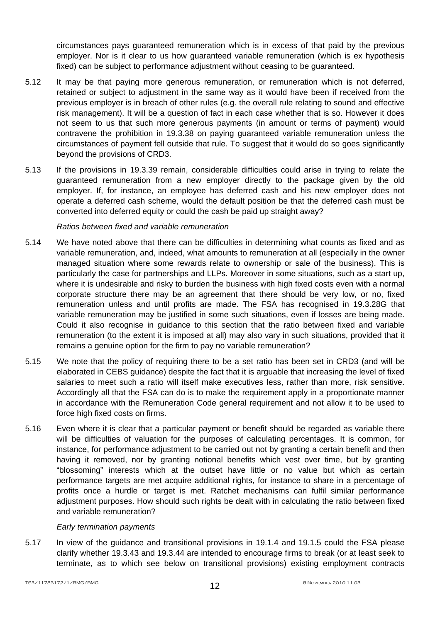circumstances pays guaranteed remuneration which is in excess of that paid by the previous employer. Nor is it clear to us how guaranteed variable remuneration (which is ex hypothesis fixed) can be subject to performance adjustment without ceasing to be guaranteed.

- 5.12 It may be that paying more generous remuneration, or remuneration which is not deferred, retained or subject to adjustment in the same way as it would have been if received from the previous employer is in breach of other rules (e.g. the overall rule relating to sound and effective risk management). It will be a question of fact in each case whether that is so. However it does not seem to us that such more generous payments (in amount or terms of payment) would contravene the prohibition in 19.3.38 on paying guaranteed variable remuneration unless the circumstances of payment fell outside that rule. To suggest that it would do so goes significantly beyond the provisions of CRD3.
- 5.13 If the provisions in 19.3.39 remain, considerable difficulties could arise in trying to relate the guaranteed remuneration from a new employer directly to the package given by the old employer. If, for instance, an employee has deferred cash and his new employer does not operate a deferred cash scheme, would the default position be that the deferred cash must be converted into deferred equity or could the cash be paid up straight away?

#### *Ratios between fixed and variable remuneration*

- 5.14 We have noted above that there can be difficulties in determining what counts as fixed and as variable remuneration, and, indeed, what amounts to remuneration at all (especially in the owner managed situation where some rewards relate to ownership or sale of the business). This is particularly the case for partnerships and LLPs. Moreover in some situations, such as a start up, where it is undesirable and risky to burden the business with high fixed costs even with a normal corporate structure there may be an agreement that there should be very low, or no, fixed remuneration unless and until profits are made. The FSA has recognised in 19.3.28G that variable remuneration may be justified in some such situations, even if losses are being made. Could it also recognise in guidance to this section that the ratio between fixed and variable remuneration (to the extent it is imposed at all) may also vary in such situations, provided that it remains a genuine option for the firm to pay no variable remuneration?
- 5.15 We note that the policy of requiring there to be a set ratio has been set in CRD3 (and will be elaborated in CEBS guidance) despite the fact that it is arguable that increasing the level of fixed salaries to meet such a ratio will itself make executives less, rather than more, risk sensitive. Accordingly all that the FSA can do is to make the requirement apply in a proportionate manner in accordance with the Remuneration Code general requirement and not allow it to be used to force high fixed costs on firms.
- 5.16 Even where it is clear that a particular payment or benefit should be regarded as variable there will be difficulties of valuation for the purposes of calculating percentages. It is common, for instance, for performance adjustment to be carried out not by granting a certain benefit and then having it removed, nor by granting notional benefits which vest over time, but by granting "blossoming" interests which at the outset have little or no value but which as certain performance targets are met acquire additional rights, for instance to share in a percentage of profits once a hurdle or target is met. Ratchet mechanisms can fulfil similar performance adjustment purposes. How should such rights be dealt with in calculating the ratio between fixed and variable remuneration?

#### *Early termination payments*

5.17 In view of the guidance and transitional provisions in 19.1.4 and 19.1.5 could the FSA please clarify whether 19.3.43 and 19.3.44 are intended to encourage firms to break (or at least seek to terminate, as to which see below on transitional provisions) existing employment contracts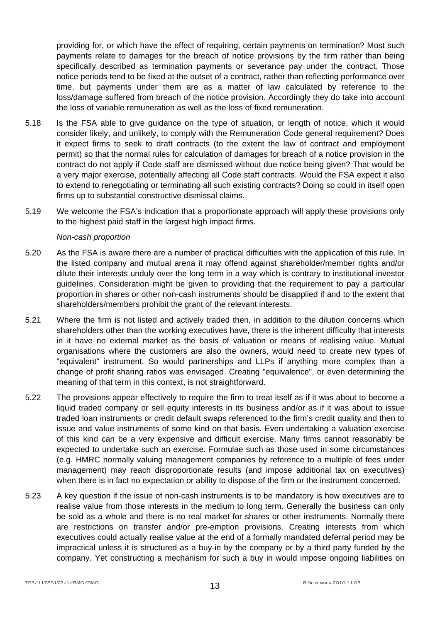providing for, or which have the effect of requiring, certain payments on termination? Most such payments relate to damages for the breach of notice provisions by the firm rather than being specifically described as termination payments or severance pay under the contract. Those notice periods tend to be fixed at the outset of a contract, rather than reflecting performance over time, but payments under them are as a matter of law calculated by reference to the loss/damage suffered from breach of the notice provision. Accordingly they do take into account the loss of variable remuneration as well as the loss of fixed remuneration.

- 5.18 Is the FSA able to give guidance on the type of situation, or length of notice, which it would consider likely, and unlikely, to comply with the Remuneration Code general requirement? Does it expect firms to seek to draft contracts (to the extent the law of contract and employment permit) so that the normal rules for calculation of damages for breach of a notice provision in the contract do not apply if Code staff are dismissed without due notice being given? That would be a very major exercise, potentially affecting all Code staff contracts. Would the FSA expect it also to extend to renegotiating or terminating all such existing contracts? Doing so could in itself open firms up to substantial constructive dismissal claims.
- 5.19 We welcome the FSA's indication that a proportionate approach will apply these provisions only to the highest paid staff in the largest high impact firms.

#### *Non-cash proportion*

- 5.20 As the FSA is aware there are a number of practical difficulties with the application of this rule. In the listed company and mutual arena it may offend against shareholder/member rights and/or dilute their interests unduly over the long term in a way which is contrary to institutional investor guidelines. Consideration might be given to providing that the requirement to pay a particular proportion in shares or other non-cash instruments should be disapplied if and to the extent that shareholders/members prohibit the grant of the relevant interests.
- 5.21 Where the firm is not listed and actively traded then, in addition to the dilution concerns which shareholders other than the working executives have, there is the inherent difficulty that interests in it have no external market as the basis of valuation or means of realising value. Mutual organisations where the customers are also the owners, would need to create new types of "equivalent" instrument. So would partnerships and LLPs if anything more complex than a change of profit sharing ratios was envisaged. Creating "equivalence", or even determining the meaning of that term in this context, is not straightforward.
- 5.22 The provisions appear effectively to require the firm to treat itself as if it was about to become a liquid traded company or sell equity interests in its business and/or as if it was about to issue traded loan instruments or credit default swaps referenced to the firm's credit quality and then to issue and value instruments of some kind on that basis. Even undertaking a valuation exercise of this kind can be a very expensive and difficult exercise. Many firms cannot reasonably be expected to undertake such an exercise. Formulae such as those used in some circumstances (e.g. HMRC normally valuing management companies by reference to a multiple of fees under management) may reach disproportionate results (and impose additional tax on executives) when there is in fact no expectation or ability to dispose of the firm or the instrument concerned.
- 5.23 A key question if the issue of non-cash instruments is to be mandatory is how executives are to realise value from those interests in the medium to long term. Generally the business can only be sold as a whole and there is no real market for shares or other instruments. Normally there are restrictions on transfer and/or pre-emption provisions. Creating interests from which executives could actually realise value at the end of a formally mandated deferral period may be impractical unless it is structured as a buy-in by the company or by a third party funded by the company. Yet constructing a mechanism for such a buy in would impose ongoing liabilities on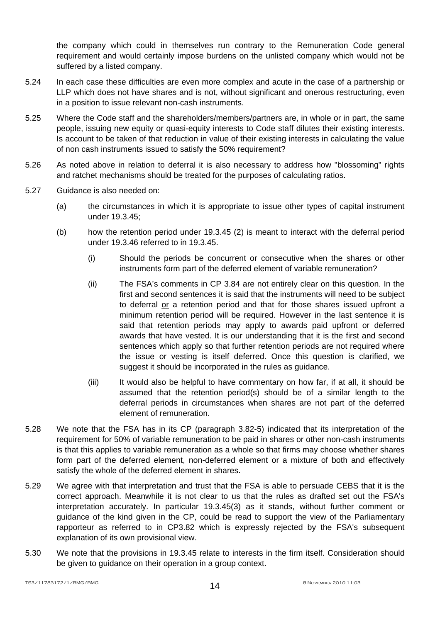the company which could in themselves run contrary to the Remuneration Code general requirement and would certainly impose burdens on the unlisted company which would not be suffered by a listed company.

- 5.24 In each case these difficulties are even more complex and acute in the case of a partnership or LLP which does not have shares and is not, without significant and onerous restructuring, even in a position to issue relevant non-cash instruments.
- 5.25 Where the Code staff and the shareholders/members/partners are, in whole or in part, the same people, issuing new equity or quasi-equity interests to Code staff dilutes their existing interests. Is account to be taken of that reduction in value of their existing interests in calculating the value of non cash instruments issued to satisfy the 50% requirement?
- 5.26 As noted above in relation to deferral it is also necessary to address how "blossoming" rights and ratchet mechanisms should be treated for the purposes of calculating ratios.
- 5.27 Guidance is also needed on:
	- (a) the circumstances in which it is appropriate to issue other types of capital instrument under 19.3.45;
	- (b) how the retention period under 19.3.45 (2) is meant to interact with the deferral period under 19.3.46 referred to in 19.3.45.
		- (i) Should the periods be concurrent or consecutive when the shares or other instruments form part of the deferred element of variable remuneration?
		- (ii) The FSA's comments in CP 3.84 are not entirely clear on this question. In the first and second sentences it is said that the instruments will need to be subject to deferral or a retention period and that for those shares issued upfront a minimum retention period will be required. However in the last sentence it is said that retention periods may apply to awards paid upfront or deferred awards that have vested. It is our understanding that it is the first and second sentences which apply so that further retention periods are not required where the issue or vesting is itself deferred. Once this question is clarified, we suggest it should be incorporated in the rules as guidance.
		- (iii) It would also be helpful to have commentary on how far, if at all, it should be assumed that the retention period(s) should be of a similar length to the deferral periods in circumstances when shares are not part of the deferred element of remuneration.
- 5.28 We note that the FSA has in its CP (paragraph 3.82-5) indicated that its interpretation of the requirement for 50% of variable remuneration to be paid in shares or other non-cash instruments is that this applies to variable remuneration as a whole so that firms may choose whether shares form part of the deferred element, non-deferred element or a mixture of both and effectively satisfy the whole of the deferred element in shares.
- 5.29 We agree with that interpretation and trust that the FSA is able to persuade CEBS that it is the correct approach. Meanwhile it is not clear to us that the rules as drafted set out the FSA's interpretation accurately. In particular 19.3.45(3) as it stands, without further comment or guidance of the kind given in the CP, could be read to support the view of the Parliamentary rapporteur as referred to in CP3.82 which is expressly rejected by the FSA's subsequent explanation of its own provisional view.
- 5.30 We note that the provisions in 19.3.45 relate to interests in the firm itself. Consideration should be given to guidance on their operation in a group context.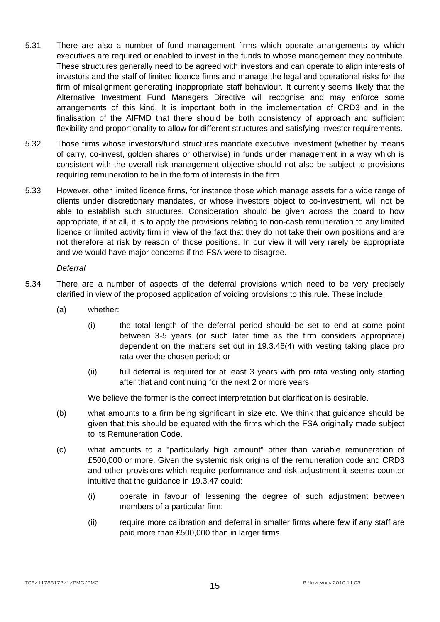- 5.31 There are also a number of fund management firms which operate arrangements by which executives are required or enabled to invest in the funds to whose management they contribute. These structures generally need to be agreed with investors and can operate to align interests of investors and the staff of limited licence firms and manage the legal and operational risks for the firm of misalignment generating inappropriate staff behaviour. It currently seems likely that the Alternative Investment Fund Managers Directive will recognise and may enforce some arrangements of this kind. It is important both in the implementation of CRD3 and in the finalisation of the AIFMD that there should be both consistency of approach and sufficient flexibility and proportionality to allow for different structures and satisfying investor requirements.
- 5.32 Those firms whose investors/fund structures mandate executive investment (whether by means of carry, co-invest, golden shares or otherwise) in funds under management in a way which is consistent with the overall risk management objective should not also be subject to provisions requiring remuneration to be in the form of interests in the firm.
- 5.33 However, other limited licence firms, for instance those which manage assets for a wide range of clients under discretionary mandates, or whose investors object to co-investment, will not be able to establish such structures. Consideration should be given across the board to how appropriate, if at all, it is to apply the provisions relating to non-cash remuneration to any limited licence or limited activity firm in view of the fact that they do not take their own positions and are not therefore at risk by reason of those positions. In our view it will very rarely be appropriate and we would have major concerns if the FSA were to disagree.

#### *Deferral*

- 5.34 There are a number of aspects of the deferral provisions which need to be very precisely clarified in view of the proposed application of voiding provisions to this rule. These include:
	- (a) whether:
		- (i) the total length of the deferral period should be set to end at some point between 3-5 years (or such later time as the firm considers appropriate) dependent on the matters set out in 19.3.46(4) with vesting taking place pro rata over the chosen period; or
		- (ii) full deferral is required for at least 3 years with pro rata vesting only starting after that and continuing for the next 2 or more years.

We believe the former is the correct interpretation but clarification is desirable.

- (b) what amounts to a firm being significant in size etc. We think that guidance should be given that this should be equated with the firms which the FSA originally made subject to its Remuneration Code.
- (c) what amounts to a "particularly high amount" other than variable remuneration of £500,000 or more. Given the systemic risk origins of the remuneration code and CRD3 and other provisions which require performance and risk adjustment it seems counter intuitive that the guidance in 19.3.47 could:
	- (i) operate in favour of lessening the degree of such adjustment between members of a particular firm;
	- (ii) require more calibration and deferral in smaller firms where few if any staff are paid more than £500,000 than in larger firms.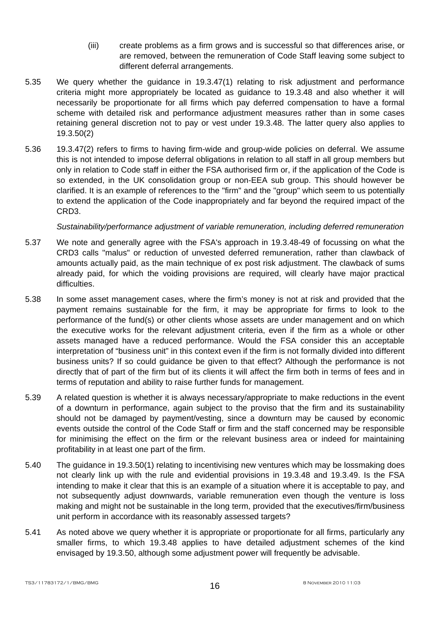- (iii) create problems as a firm grows and is successful so that differences arise, or are removed, between the remuneration of Code Staff leaving some subject to different deferral arrangements.
- 5.35 We query whether the guidance in 19.3.47(1) relating to risk adjustment and performance criteria might more appropriately be located as guidance to 19.3.48 and also whether it will necessarily be proportionate for all firms which pay deferred compensation to have a formal scheme with detailed risk and performance adjustment measures rather than in some cases retaining general discretion not to pay or vest under 19.3.48. The latter query also applies to 19.3.50(2)
- 5.36 19.3.47(2) refers to firms to having firm-wide and group-wide policies on deferral. We assume this is not intended to impose deferral obligations in relation to all staff in all group members but only in relation to Code staff in either the FSA authorised firm or, if the application of the Code is so extended, in the UK consolidation group or non-EEA sub group. This should however be clarified. It is an example of references to the "firm" and the "group" which seem to us potentially to extend the application of the Code inappropriately and far beyond the required impact of the CRD3.

*Sustainability/performance adjustment of variable remuneration, including deferred remuneration* 

- 5.37 We note and generally agree with the FSA's approach in 19.3.48-49 of focussing on what the CRD3 calls "malus" or reduction of unvested deferred remuneration, rather than clawback of amounts actually paid, as the main technique of ex post risk adjustment. The clawback of sums already paid, for which the voiding provisions are required, will clearly have major practical difficulties.
- 5.38 In some asset management cases, where the firm's money is not at risk and provided that the payment remains sustainable for the firm, it may be appropriate for firms to look to the performance of the fund(s) or other clients whose assets are under management and on which the executive works for the relevant adjustment criteria, even if the firm as a whole or other assets managed have a reduced performance. Would the FSA consider this an acceptable interpretation of "business unit" in this context even if the firm is not formally divided into different business units? If so could guidance be given to that effect? Although the performance is not directly that of part of the firm but of its clients it will affect the firm both in terms of fees and in terms of reputation and ability to raise further funds for management.
- 5.39 A related question is whether it is always necessary/appropriate to make reductions in the event of a downturn in performance, again subject to the proviso that the firm and its sustainability should not be damaged by payment/vesting, since a downturn may be caused by economic events outside the control of the Code Staff or firm and the staff concerned may be responsible for minimising the effect on the firm or the relevant business area or indeed for maintaining profitability in at least one part of the firm.
- 5.40 The guidance in 19.3.50(1) relating to incentivising new ventures which may be lossmaking does not clearly link up with the rule and evidential provisions in 19.3.48 and 19.3.49. Is the FSA intending to make it clear that this is an example of a situation where it is acceptable to pay, and not subsequently adjust downwards, variable remuneration even though the venture is loss making and might not be sustainable in the long term, provided that the executives/firm/business unit perform in accordance with its reasonably assessed targets?
- 5.41 As noted above we query whether it is appropriate or proportionate for all firms, particularly any smaller firms, to which 19.3.48 applies to have detailed adjustment schemes of the kind envisaged by 19.3.50, although some adjustment power will frequently be advisable.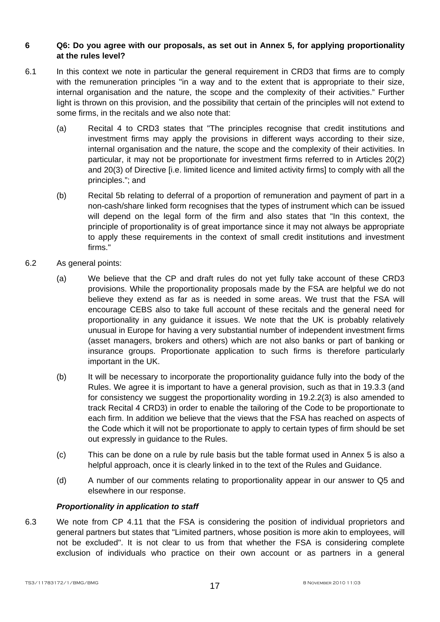# **6 Q6: Do you agree with our proposals, as set out in Annex 5, for applying proportionality at the rules level?**

- 6.1 In this context we note in particular the general requirement in CRD3 that firms are to comply with the remuneration principles "in a way and to the extent that is appropriate to their size, internal organisation and the nature, the scope and the complexity of their activities." Further light is thrown on this provision, and the possibility that certain of the principles will not extend to some firms, in the recitals and we also note that:
	- (a) Recital 4 to CRD3 states that "The principles recognise that credit institutions and investment firms may apply the provisions in different ways according to their size, internal organisation and the nature, the scope and the complexity of their activities. In particular, it may not be proportionate for investment firms referred to in Articles 20(2) and 20(3) of Directive [i.e. limited licence and limited activity firms] to comply with all the principles."; and
	- (b) Recital 5b relating to deferral of a proportion of remuneration and payment of part in a non-cash/share linked form recognises that the types of instrument which can be issued will depend on the legal form of the firm and also states that "In this context, the principle of proportionality is of great importance since it may not always be appropriate to apply these requirements in the context of small credit institutions and investment firms."
- 6.2 As general points:
	- (a) We believe that the CP and draft rules do not yet fully take account of these CRD3 provisions. While the proportionality proposals made by the FSA are helpful we do not believe they extend as far as is needed in some areas. We trust that the FSA will encourage CEBS also to take full account of these recitals and the general need for proportionality in any guidance it issues. We note that the UK is probably relatively unusual in Europe for having a very substantial number of independent investment firms (asset managers, brokers and others) which are not also banks or part of banking or insurance groups. Proportionate application to such firms is therefore particularly important in the UK.
	- (b) It will be necessary to incorporate the proportionality guidance fully into the body of the Rules. We agree it is important to have a general provision, such as that in 19.3.3 (and for consistency we suggest the proportionality wording in 19.2.2(3) is also amended to track Recital 4 CRD3) in order to enable the tailoring of the Code to be proportionate to each firm. In addition we believe that the views that the FSA has reached on aspects of the Code which it will not be proportionate to apply to certain types of firm should be set out expressly in guidance to the Rules.
	- (c) This can be done on a rule by rule basis but the table format used in Annex 5 is also a helpful approach, once it is clearly linked in to the text of the Rules and Guidance.
	- (d) A number of our comments relating to proportionality appear in our answer to Q5 and elsewhere in our response.

# *Proportionality in application to staff*

6.3 We note from CP 4.11 that the FSA is considering the position of individual proprietors and general partners but states that "Limited partners, whose position is more akin to employees, will not be excluded". It is not clear to us from that whether the FSA is considering complete exclusion of individuals who practice on their own account or as partners in a general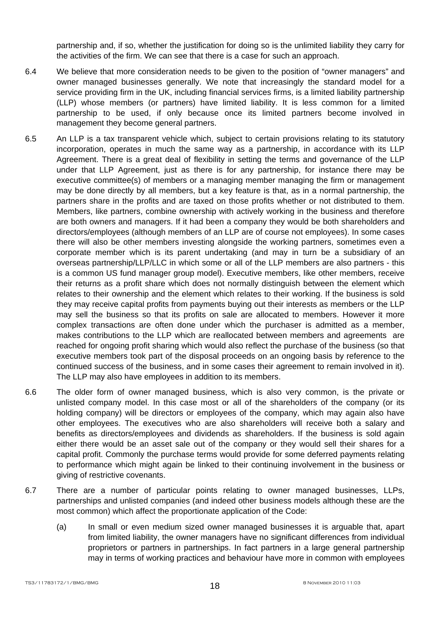partnership and, if so, whether the justification for doing so is the unlimited liability they carry for the activities of the firm. We can see that there is a case for such an approach.

- 6.4 We believe that more consideration needs to be given to the position of "owner managers" and owner managed businesses generally. We note that increasingly the standard model for a service providing firm in the UK, including financial services firms, is a limited liability partnership (LLP) whose members (or partners) have limited liability. It is less common for a limited partnership to be used, if only because once its limited partners become involved in management they become general partners.
- 6.5 An LLP is a tax transparent vehicle which, subject to certain provisions relating to its statutory incorporation, operates in much the same way as a partnership, in accordance with its LLP Agreement. There is a great deal of flexibility in setting the terms and governance of the LLP under that LLP Agreement, just as there is for any partnership, for instance there may be executive committee(s) of members or a managing member managing the firm or management may be done directly by all members, but a key feature is that, as in a normal partnership, the partners share in the profits and are taxed on those profits whether or not distributed to them. Members, like partners, combine ownership with actively working in the business and therefore are both owners and managers. If it had been a company they would be both shareholders and directors/employees (although members of an LLP are of course not employees). In some cases there will also be other members investing alongside the working partners, sometimes even a corporate member which is its parent undertaking (and may in turn be a subsidiary of an overseas partnership/LLP/LLC in which some or all of the LLP members are also partners - this is a common US fund manager group model). Executive members, like other members, receive their returns as a profit share which does not normally distinguish between the element which relates to their ownership and the element which relates to their working. If the business is sold they may receive capital profits from payments buying out their interests as members or the LLP may sell the business so that its profits on sale are allocated to members. However it more complex transactions are often done under which the purchaser is admitted as a member, makes contributions to the LLP which are reallocated between members and agreements are reached for ongoing profit sharing which would also reflect the purchase of the business (so that executive members took part of the disposal proceeds on an ongoing basis by reference to the continued success of the business, and in some cases their agreement to remain involved in it). The LLP may also have employees in addition to its members.
- 6.6 The older form of owner managed business, which is also very common, is the private or unlisted company model. In this case most or all of the shareholders of the company (or its holding company) will be directors or employees of the company, which may again also have other employees. The executives who are also shareholders will receive both a salary and benefits as directors/employees and dividends as shareholders. If the business is sold again either there would be an asset sale out of the company or they would sell their shares for a capital profit. Commonly the purchase terms would provide for some deferred payments relating to performance which might again be linked to their continuing involvement in the business or giving of restrictive covenants.
- 6.7 There are a number of particular points relating to owner managed businesses, LLPs, partnerships and unlisted companies (and indeed other business models although these are the most common) which affect the proportionate application of the Code:
	- (a) In small or even medium sized owner managed businesses it is arguable that, apart from limited liability, the owner managers have no significant differences from individual proprietors or partners in partnerships. In fact partners in a large general partnership may in terms of working practices and behaviour have more in common with employees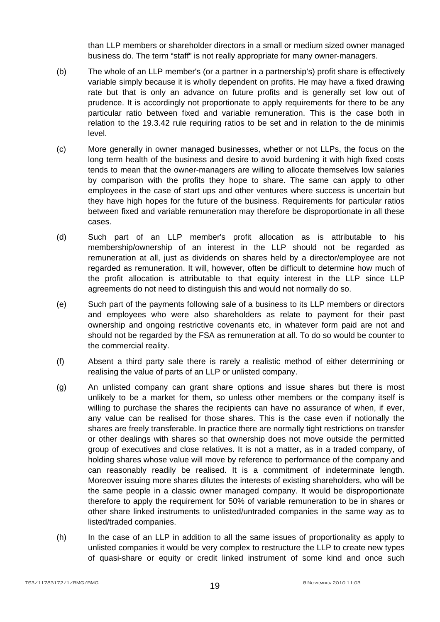than LLP members or shareholder directors in a small or medium sized owner managed business do. The term "staff" is not really appropriate for many owner-managers.

- (b) The whole of an LLP member's (or a partner in a partnership's) profit share is effectively variable simply because it is wholly dependent on profits. He may have a fixed drawing rate but that is only an advance on future profits and is generally set low out of prudence. It is accordingly not proportionate to apply requirements for there to be any particular ratio between fixed and variable remuneration. This is the case both in relation to the 19.3.42 rule requiring ratios to be set and in relation to the de minimis level.
- (c) More generally in owner managed businesses, whether or not LLPs, the focus on the long term health of the business and desire to avoid burdening it with high fixed costs tends to mean that the owner-managers are willing to allocate themselves low salaries by comparison with the profits they hope to share. The same can apply to other employees in the case of start ups and other ventures where success is uncertain but they have high hopes for the future of the business. Requirements for particular ratios between fixed and variable remuneration may therefore be disproportionate in all these cases.
- (d) Such part of an LLP member's profit allocation as is attributable to his membership/ownership of an interest in the LLP should not be regarded as remuneration at all, just as dividends on shares held by a director/employee are not regarded as remuneration. It will, however, often be difficult to determine how much of the profit allocation is attributable to that equity interest in the LLP since LLP agreements do not need to distinguish this and would not normally do so.
- (e) Such part of the payments following sale of a business to its LLP members or directors and employees who were also shareholders as relate to payment for their past ownership and ongoing restrictive covenants etc, in whatever form paid are not and should not be regarded by the FSA as remuneration at all. To do so would be counter to the commercial reality.
- (f) Absent a third party sale there is rarely a realistic method of either determining or realising the value of parts of an LLP or unlisted company.
- (g) An unlisted company can grant share options and issue shares but there is most unlikely to be a market for them, so unless other members or the company itself is willing to purchase the shares the recipients can have no assurance of when, if ever, any value can be realised for those shares. This is the case even if notionally the shares are freely transferable. In practice there are normally tight restrictions on transfer or other dealings with shares so that ownership does not move outside the permitted group of executives and close relatives. It is not a matter, as in a traded company, of holding shares whose value will move by reference to performance of the company and can reasonably readily be realised. It is a commitment of indeterminate length. Moreover issuing more shares dilutes the interests of existing shareholders, who will be the same people in a classic owner managed company. It would be disproportionate therefore to apply the requirement for 50% of variable remuneration to be in shares or other share linked instruments to unlisted/untraded companies in the same way as to listed/traded companies.
- (h) In the case of an LLP in addition to all the same issues of proportionality as apply to unlisted companies it would be very complex to restructure the LLP to create new types of quasi-share or equity or credit linked instrument of some kind and once such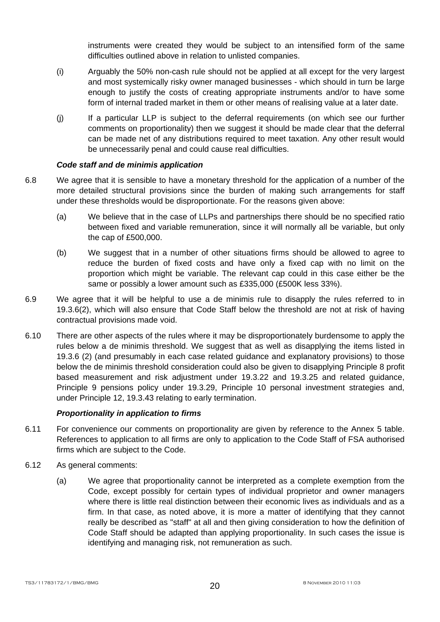instruments were created they would be subject to an intensified form of the same difficulties outlined above in relation to unlisted companies.

- (i) Arguably the 50% non-cash rule should not be applied at all except for the very largest and most systemically risky owner managed businesses - which should in turn be large enough to justify the costs of creating appropriate instruments and/or to have some form of internal traded market in them or other means of realising value at a later date.
- (j) If a particular LLP is subject to the deferral requirements (on which see our further comments on proportionality) then we suggest it should be made clear that the deferral can be made net of any distributions required to meet taxation. Any other result would be unnecessarily penal and could cause real difficulties.

# *Code staff and de minimis application*

- 6.8 We agree that it is sensible to have a monetary threshold for the application of a number of the more detailed structural provisions since the burden of making such arrangements for staff under these thresholds would be disproportionate. For the reasons given above:
	- (a) We believe that in the case of LLPs and partnerships there should be no specified ratio between fixed and variable remuneration, since it will normally all be variable, but only the cap of £500,000.
	- (b) We suggest that in a number of other situations firms should be allowed to agree to reduce the burden of fixed costs and have only a fixed cap with no limit on the proportion which might be variable. The relevant cap could in this case either be the same or possibly a lower amount such as £335,000 (£500K less 33%).
- 6.9 We agree that it will be helpful to use a de minimis rule to disapply the rules referred to in 19.3.6(2), which will also ensure that Code Staff below the threshold are not at risk of having contractual provisions made void.
- 6.10 There are other aspects of the rules where it may be disproportionately burdensome to apply the rules below a de minimis threshold. We suggest that as well as disapplying the items listed in 19.3.6 (2) (and presumably in each case related guidance and explanatory provisions) to those below the de minimis threshold consideration could also be given to disapplying Principle 8 profit based measurement and risk adjustment under 19.3.22 and 19.3.25 and related guidance, Principle 9 pensions policy under 19.3.29, Principle 10 personal investment strategies and, under Principle 12, 19.3.43 relating to early termination.

# *Proportionality in application to firms*

- 6.11 For convenience our comments on proportionality are given by reference to the Annex 5 table. References to application to all firms are only to application to the Code Staff of FSA authorised firms which are subject to the Code.
- 6.12 As general comments:
	- (a) We agree that proportionality cannot be interpreted as a complete exemption from the Code, except possibly for certain types of individual proprietor and owner managers where there is little real distinction between their economic lives as individuals and as a firm. In that case, as noted above, it is more a matter of identifying that they cannot really be described as "staff" at all and then giving consideration to how the definition of Code Staff should be adapted than applying proportionality. In such cases the issue is identifying and managing risk, not remuneration as such.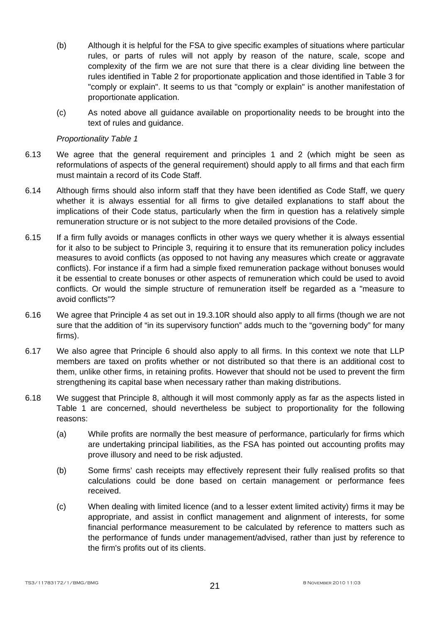- (b) Although it is helpful for the FSA to give specific examples of situations where particular rules, or parts of rules will not apply by reason of the nature, scale, scope and complexity of the firm we are not sure that there is a clear dividing line between the rules identified in Table 2 for proportionate application and those identified in Table 3 for "comply or explain". It seems to us that "comply or explain" is another manifestation of proportionate application.
- (c) As noted above all guidance available on proportionality needs to be brought into the text of rules and guidance.

# *Proportionality Table 1*

- 6.13 We agree that the general requirement and principles 1 and 2 (which might be seen as reformulations of aspects of the general requirement) should apply to all firms and that each firm must maintain a record of its Code Staff.
- 6.14 Although firms should also inform staff that they have been identified as Code Staff, we query whether it is always essential for all firms to give detailed explanations to staff about the implications of their Code status, particularly when the firm in question has a relatively simple remuneration structure or is not subject to the more detailed provisions of the Code.
- 6.15 If a firm fully avoids or manages conflicts in other ways we query whether it is always essential for it also to be subject to Principle 3, requiring it to ensure that its remuneration policy includes measures to avoid conflicts (as opposed to not having any measures which create or aggravate conflicts). For instance if a firm had a simple fixed remuneration package without bonuses would it be essential to create bonuses or other aspects of remuneration which could be used to avoid conflicts. Or would the simple structure of remuneration itself be regarded as a "measure to avoid conflicts"?
- 6.16 We agree that Principle 4 as set out in 19.3.10R should also apply to all firms (though we are not sure that the addition of "in its supervisory function" adds much to the "governing body" for many firms).
- 6.17 We also agree that Principle 6 should also apply to all firms. In this context we note that LLP members are taxed on profits whether or not distributed so that there is an additional cost to them, unlike other firms, in retaining profits. However that should not be used to prevent the firm strengthening its capital base when necessary rather than making distributions.
- 6.18 We suggest that Principle 8, although it will most commonly apply as far as the aspects listed in Table 1 are concerned, should nevertheless be subject to proportionality for the following reasons:
	- (a) While profits are normally the best measure of performance, particularly for firms which are undertaking principal liabilities, as the FSA has pointed out accounting profits may prove illusory and need to be risk adjusted.
	- (b) Some firms' cash receipts may effectively represent their fully realised profits so that calculations could be done based on certain management or performance fees received.
	- (c) When dealing with limited licence (and to a lesser extent limited activity) firms it may be appropriate, and assist in conflict management and alignment of interests, for some financial performance measurement to be calculated by reference to matters such as the performance of funds under management/advised, rather than just by reference to the firm's profits out of its clients.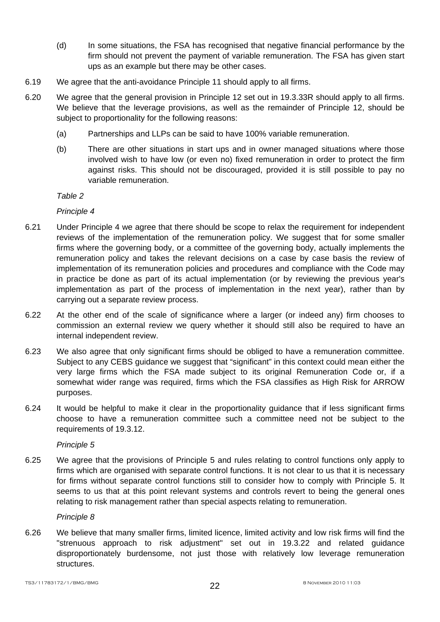- (d) In some situations, the FSA has recognised that negative financial performance by the firm should not prevent the payment of variable remuneration. The FSA has given start ups as an example but there may be other cases.
- 6.19 We agree that the anti-avoidance Principle 11 should apply to all firms.
- 6.20 We agree that the general provision in Principle 12 set out in 19.3.33R should apply to all firms. We believe that the leverage provisions, as well as the remainder of Principle 12, should be subject to proportionality for the following reasons:
	- (a) Partnerships and LLPs can be said to have 100% variable remuneration.
	- (b) There are other situations in start ups and in owner managed situations where those involved wish to have low (or even no) fixed remuneration in order to protect the firm against risks. This should not be discouraged, provided it is still possible to pay no variable remuneration.

*Table 2* 

*Principle 4* 

- 6.21 Under Principle 4 we agree that there should be scope to relax the requirement for independent reviews of the implementation of the remuneration policy. We suggest that for some smaller firms where the governing body, or a committee of the governing body, actually implements the remuneration policy and takes the relevant decisions on a case by case basis the review of implementation of its remuneration policies and procedures and compliance with the Code may in practice be done as part of its actual implementation (or by reviewing the previous year's implementation as part of the process of implementation in the next year), rather than by carrying out a separate review process.
- 6.22 At the other end of the scale of significance where a larger (or indeed any) firm chooses to commission an external review we query whether it should still also be required to have an internal independent review.
- 6.23 We also agree that only significant firms should be obliged to have a remuneration committee. Subject to any CEBS guidance we suggest that "significant" in this context could mean either the very large firms which the FSA made subject to its original Remuneration Code or, if a somewhat wider range was required, firms which the FSA classifies as High Risk for ARROW purposes.
- 6.24 It would be helpful to make it clear in the proportionality guidance that if less significant firms choose to have a remuneration committee such a committee need not be subject to the requirements of 19.3.12.

*Principle 5* 

6.25 We agree that the provisions of Principle 5 and rules relating to control functions only apply to firms which are organised with separate control functions. It is not clear to us that it is necessary for firms without separate control functions still to consider how to comply with Principle 5. It seems to us that at this point relevant systems and controls revert to being the general ones relating to risk management rather than special aspects relating to remuneration.

*Principle 8* 

6.26 We believe that many smaller firms, limited licence, limited activity and low risk firms will find the "strenuous approach to risk adjustment" set out in 19.3.22 and related guidance disproportionately burdensome, not just those with relatively low leverage remuneration structures.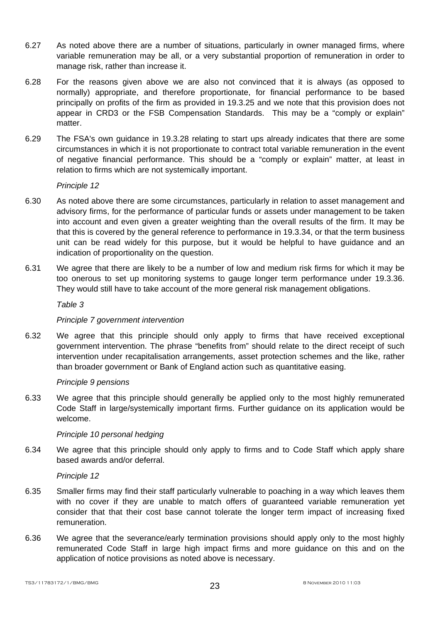- 6.27 As noted above there are a number of situations, particularly in owner managed firms, where variable remuneration may be all, or a very substantial proportion of remuneration in order to manage risk, rather than increase it.
- 6.28 For the reasons given above we are also not convinced that it is always (as opposed to normally) appropriate, and therefore proportionate, for financial performance to be based principally on profits of the firm as provided in 19.3.25 and we note that this provision does not appear in CRD3 or the FSB Compensation Standards. This may be a "comply or explain" matter.
- 6.29 The FSA's own guidance in 19.3.28 relating to start ups already indicates that there are some circumstances in which it is not proportionate to contract total variable remuneration in the event of negative financial performance. This should be a "comply or explain" matter, at least in relation to firms which are not systemically important.

*Principle 12* 

- 6.30 As noted above there are some circumstances, particularly in relation to asset management and advisory firms, for the performance of particular funds or assets under management to be taken into account and even given a greater weighting than the overall results of the firm. It may be that this is covered by the general reference to performance in 19.3.34, or that the term business unit can be read widely for this purpose, but it would be helpful to have guidance and an indication of proportionality on the question.
- 6.31 We agree that there are likely to be a number of low and medium risk firms for which it may be too onerous to set up monitoring systems to gauge longer term performance under 19.3.36. They would still have to take account of the more general risk management obligations.

#### *Table 3*

# *Principle 7 government intervention*

6.32 We agree that this principle should only apply to firms that have received exceptional government intervention. The phrase "benefits from" should relate to the direct receipt of such intervention under recapitalisation arrangements, asset protection schemes and the like, rather than broader government or Bank of England action such as quantitative easing.

#### *Principle 9 pensions*

6.33 We agree that this principle should generally be applied only to the most highly remunerated Code Staff in large/systemically important firms. Further guidance on its application would be welcome.

# *Principle 10 personal hedging*

6.34 We agree that this principle should only apply to firms and to Code Staff which apply share based awards and/or deferral.

#### *Principle 12*

- 6.35 Smaller firms may find their staff particularly vulnerable to poaching in a way which leaves them with no cover if they are unable to match offers of guaranteed variable remuneration yet consider that that their cost base cannot tolerate the longer term impact of increasing fixed remuneration.
- 6.36 We agree that the severance/early termination provisions should apply only to the most highly remunerated Code Staff in large high impact firms and more guidance on this and on the application of notice provisions as noted above is necessary.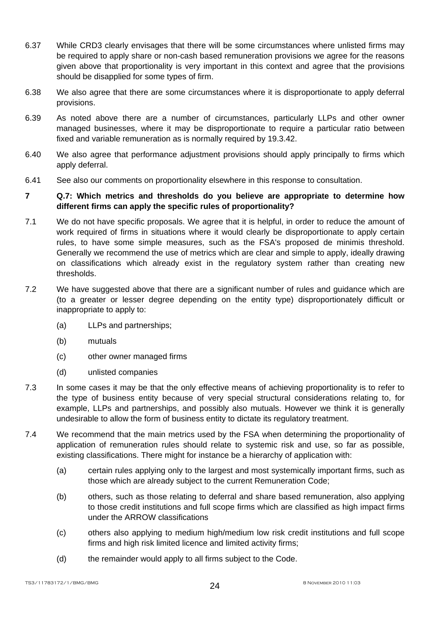- 6.37 While CRD3 clearly envisages that there will be some circumstances where unlisted firms may be required to apply share or non-cash based remuneration provisions we agree for the reasons given above that proportionality is very important in this context and agree that the provisions should be disapplied for some types of firm.
- 6.38 We also agree that there are some circumstances where it is disproportionate to apply deferral provisions.
- 6.39 As noted above there are a number of circumstances, particularly LLPs and other owner managed businesses, where it may be disproportionate to require a particular ratio between fixed and variable remuneration as is normally required by 19.3.42.
- 6.40 We also agree that performance adjustment provisions should apply principally to firms which apply deferral.
- 6.41 See also our comments on proportionality elsewhere in this response to consultation.

# **7 Q.7: Which metrics and thresholds do you believe are appropriate to determine how different firms can apply the specific rules of proportionality?**

- 7.1 We do not have specific proposals. We agree that it is helpful, in order to reduce the amount of work required of firms in situations where it would clearly be disproportionate to apply certain rules, to have some simple measures, such as the FSA's proposed de minimis threshold. Generally we recommend the use of metrics which are clear and simple to apply, ideally drawing on classifications which already exist in the regulatory system rather than creating new thresholds.
- 7.2 We have suggested above that there are a significant number of rules and guidance which are (to a greater or lesser degree depending on the entity type) disproportionately difficult or inappropriate to apply to:
	- (a) LLPs and partnerships;
	- (b) mutuals
	- (c) other owner managed firms
	- (d) unlisted companies
- 7.3 In some cases it may be that the only effective means of achieving proportionality is to refer to the type of business entity because of very special structural considerations relating to, for example, LLPs and partnerships, and possibly also mutuals. However we think it is generally undesirable to allow the form of business entity to dictate its regulatory treatment.
- 7.4 We recommend that the main metrics used by the FSA when determining the proportionality of application of remuneration rules should relate to systemic risk and use, so far as possible, existing classifications. There might for instance be a hierarchy of application with:
	- (a) certain rules applying only to the largest and most systemically important firms, such as those which are already subject to the current Remuneration Code;
	- (b) others, such as those relating to deferral and share based remuneration, also applying to those credit institutions and full scope firms which are classified as high impact firms under the ARROW classifications
	- (c) others also applying to medium high/medium low risk credit institutions and full scope firms and high risk limited licence and limited activity firms;
	- (d) the remainder would apply to all firms subject to the Code.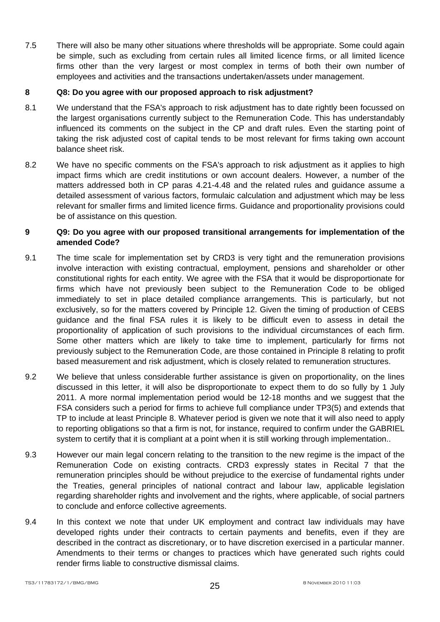7.5 There will also be many other situations where thresholds will be appropriate. Some could again be simple, such as excluding from certain rules all limited licence firms, or all limited licence firms other than the very largest or most complex in terms of both their own number of employees and activities and the transactions undertaken/assets under management.

# **8 Q8: Do you agree with our proposed approach to risk adjustment?**

- 8.1 We understand that the FSA's approach to risk adjustment has to date rightly been focussed on the largest organisations currently subject to the Remuneration Code. This has understandably influenced its comments on the subject in the CP and draft rules. Even the starting point of taking the risk adjusted cost of capital tends to be most relevant for firms taking own account balance sheet risk.
- 8.2 We have no specific comments on the FSA's approach to risk adjustment as it applies to high impact firms which are credit institutions or own account dealers. However, a number of the matters addressed both in CP paras 4.21-4.48 and the related rules and guidance assume a detailed assessment of various factors, formulaic calculation and adjustment which may be less relevant for smaller firms and limited licence firms. Guidance and proportionality provisions could be of assistance on this question.

# **9 Q9: Do you agree with our proposed transitional arrangements for implementation of the amended Code?**

- 9.1 The time scale for implementation set by CRD3 is very tight and the remuneration provisions involve interaction with existing contractual, employment, pensions and shareholder or other constitutional rights for each entity. We agree with the FSA that it would be disproportionate for firms which have not previously been subject to the Remuneration Code to be obliged immediately to set in place detailed compliance arrangements. This is particularly, but not exclusively, so for the matters covered by Principle 12. Given the timing of production of CEBS guidance and the final FSA rules it is likely to be difficult even to assess in detail the proportionality of application of such provisions to the individual circumstances of each firm. Some other matters which are likely to take time to implement, particularly for firms not previously subject to the Remuneration Code, are those contained in Principle 8 relating to profit based measurement and risk adjustment, which is closely related to remuneration structures.
- 9.2 We believe that unless considerable further assistance is given on proportionality, on the lines discussed in this letter, it will also be disproportionate to expect them to do so fully by 1 July 2011. A more normal implementation period would be 12-18 months and we suggest that the FSA considers such a period for firms to achieve full compliance under TP3(5) and extends that TP to include at least Principle 8. Whatever period is given we note that it will also need to apply to reporting obligations so that a firm is not, for instance, required to confirm under the GABRIEL system to certify that it is compliant at a point when it is still working through implementation..
- 9.3 However our main legal concern relating to the transition to the new regime is the impact of the Remuneration Code on existing contracts. CRD3 expressly states in Recital 7 that the remuneration principles should be without prejudice to the exercise of fundamental rights under the Treaties, general principles of national contract and labour law, applicable legislation regarding shareholder rights and involvement and the rights, where applicable, of social partners to conclude and enforce collective agreements.
- 9.4 In this context we note that under UK employment and contract law individuals may have developed rights under their contracts to certain payments and benefits, even if they are described in the contract as discretionary, or to have discretion exercised in a particular manner. Amendments to their terms or changes to practices which have generated such rights could render firms liable to constructive dismissal claims.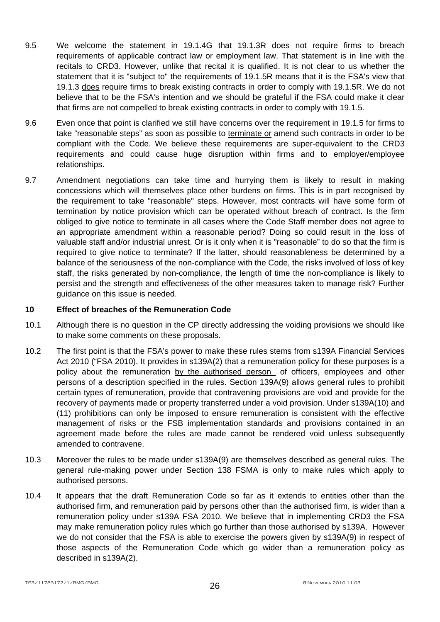- 9.5 We welcome the statement in 19.1.4G that 19.1.3R does not require firms to breach requirements of applicable contract law or employment law. That statement is in line with the recitals to CRD3. However, unlike that recital it is qualified. It is not clear to us whether the statement that it is "subject to" the requirements of 19.1.5R means that it is the FSA's view that 19.1.3 does require firms to break existing contracts in order to comply with 19.1.5R. We do not believe that to be the FSA's intention and we should be grateful if the FSA could make it clear that firms are not compelled to break existing contracts in order to comply with 19.1.5.
- 9.6 Even once that point is clarified we still have concerns over the requirement in 19.1.5 for firms to take "reasonable steps" as soon as possible to terminate or amend such contracts in order to be compliant with the Code. We believe these requirements are super-equivalent to the CRD3 requirements and could cause huge disruption within firms and to employer/employee relationships.
- 9.7 Amendment negotiations can take time and hurrying them is likely to result in making concessions which will themselves place other burdens on firms. This is in part recognised by the requirement to take "reasonable" steps. However, most contracts will have some form of termination by notice provision which can be operated without breach of contract. Is the firm obliged to give notice to terminate in all cases where the Code Staff member does not agree to an appropriate amendment within a reasonable period? Doing so could result in the loss of valuable staff and/or industrial unrest. Or is it only when it is "reasonable" to do so that the firm is required to give notice to terminate? If the latter, should reasonableness be determined by a balance of the seriousness of the non-compliance with the Code, the risks involved of loss of key staff, the risks generated by non-compliance, the length of time the non-compliance is likely to persist and the strength and effectiveness of the other measures taken to manage risk? Further guidance on this issue is needed.

#### **10 Effect of breaches of the Remuneration Code**

- 10.1 Although there is no question in the CP directly addressing the voiding provisions we should like to make some comments on these proposals.
- 10.2 The first point is that the FSA's power to make these rules stems from s139A Financial Services Act 2010 ("FSA 2010). It provides in s139A(2) that a remuneration policy for these purposes is a policy about the remuneration by the authorised person of officers, employees and other persons of a description specified in the rules. Section 139A(9) allows general rules to prohibit certain types of remuneration, provide that contravening provisions are void and provide for the recovery of payments made or property transferred under a void provision. Under s139A(10) and (11) prohibitions can only be imposed to ensure remuneration is consistent with the effective management of risks or the FSB implementation standards and provisions contained in an agreement made before the rules are made cannot be rendered void unless subsequently amended to contravene.
- 10.3 Moreover the rules to be made under s139A(9) are themselves described as general rules. The general rule-making power under Section 138 FSMA is only to make rules which apply to authorised persons.
- 10.4 It appears that the draft Remuneration Code so far as it extends to entities other than the authorised firm, and remuneration paid by persons other than the authorised firm, is wider than a remuneration policy under s139A FSA 2010. We believe that in implementing CRD3 the FSA may make remuneration policy rules which go further than those authorised by s139A. However we do not consider that the FSA is able to exercise the powers given by s139A(9) in respect of those aspects of the Remuneration Code which go wider than a remuneration policy as described in s139A(2).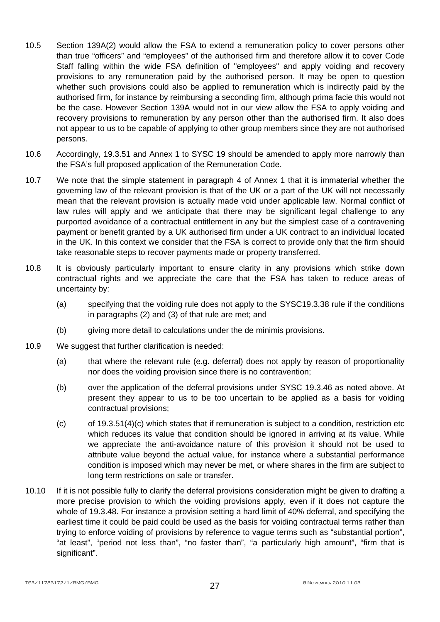- 10.5 Section 139A(2) would allow the FSA to extend a remuneration policy to cover persons other than true "officers" and "employees" of the authorised firm and therefore allow it to cover Code Staff falling within the wide FSA definition of "employees" and apply voiding and recovery provisions to any remuneration paid by the authorised person. It may be open to question whether such provisions could also be applied to remuneration which is indirectly paid by the authorised firm, for instance by reimbursing a seconding firm, although prima facie this would not be the case. However Section 139A would not in our view allow the FSA to apply voiding and recovery provisions to remuneration by any person other than the authorised firm. It also does not appear to us to be capable of applying to other group members since they are not authorised persons.
- 10.6 Accordingly, 19.3.51 and Annex 1 to SYSC 19 should be amended to apply more narrowly than the FSA's full proposed application of the Remuneration Code.
- 10.7 We note that the simple statement in paragraph 4 of Annex 1 that it is immaterial whether the governing law of the relevant provision is that of the UK or a part of the UK will not necessarily mean that the relevant provision is actually made void under applicable law. Normal conflict of law rules will apply and we anticipate that there may be significant legal challenge to any purported avoidance of a contractual entitlement in any but the simplest case of a contravening payment or benefit granted by a UK authorised firm under a UK contract to an individual located in the UK. In this context we consider that the FSA is correct to provide only that the firm should take reasonable steps to recover payments made or property transferred.
- 10.8 It is obviously particularly important to ensure clarity in any provisions which strike down contractual rights and we appreciate the care that the FSA has taken to reduce areas of uncertainty by:
	- (a) specifying that the voiding rule does not apply to the SYSC19.3.38 rule if the conditions in paragraphs (2) and (3) of that rule are met; and
	- (b) giving more detail to calculations under the de minimis provisions.
- 10.9 We suggest that further clarification is needed:
	- (a) that where the relevant rule (e.g. deferral) does not apply by reason of proportionality nor does the voiding provision since there is no contravention;
	- (b) over the application of the deferral provisions under SYSC 19.3.46 as noted above. At present they appear to us to be too uncertain to be applied as a basis for voiding contractual provisions;
	- $(c)$  of 19.3.51(4)(c) which states that if remuneration is subject to a condition, restriction etc which reduces its value that condition should be ignored in arriving at its value. While we appreciate the anti-avoidance nature of this provision it should not be used to attribute value beyond the actual value, for instance where a substantial performance condition is imposed which may never be met, or where shares in the firm are subject to long term restrictions on sale or transfer.
- 10.10 If it is not possible fully to clarify the deferral provisions consideration might be given to drafting a more precise provision to which the voiding provisions apply, even if it does not capture the whole of 19.3.48. For instance a provision setting a hard limit of 40% deferral, and specifying the earliest time it could be paid could be used as the basis for voiding contractual terms rather than trying to enforce voiding of provisions by reference to vague terms such as "substantial portion", "at least", "period not less than", "no faster than", "a particularly high amount", "firm that is significant".